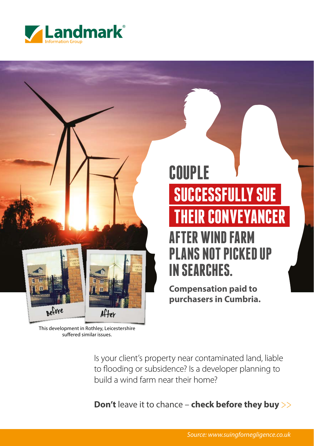

# **COUPLE SUCCESSFULLY SUE THEIR CONVEYANCER AFTER WIND FARM PLANS NOT PICKED UP IN SEARCHES.**

**Compensation paid to purchasers in Cumbria.** 

This development in Rothley, Leicestershire suffered similar issues.

After

Before

Is your client's property near contaminated land, liable to flooding or subsidence? Is a developer planning to build a wind farm near their home?

**Don't** leave it to chance – **check before they buy** >>